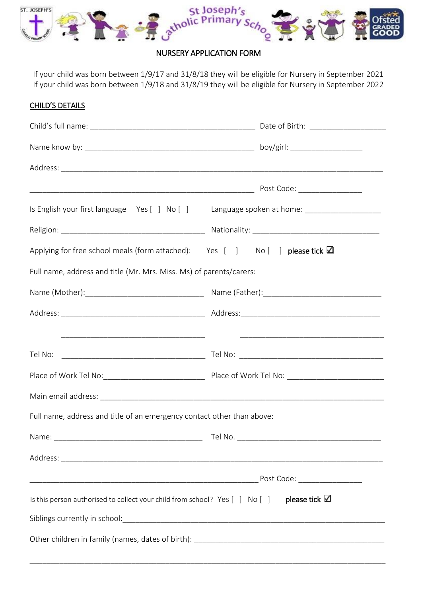

# NURSERY APPLICATION FORM

If your child was born between 1/9/17 and 31/8/18 they will be eligible for Nursery in September 2021 If your child was born between 1/9/18 and 31/8/19 they will be eligible for Nursery in September 2022

### CHILD'S DETAILS

|                                                                                                        | Is English your first language Yes [ ] No [ ] Language spoken at home: _____________________________ |
|--------------------------------------------------------------------------------------------------------|------------------------------------------------------------------------------------------------------|
|                                                                                                        |                                                                                                      |
| Applying for free school meals (form attached): Yes $[$ ] No $[$ ] please tick $\Box$                  |                                                                                                      |
| Full name, address and title (Mr. Mrs. Miss. Ms) of parents/carers:                                    |                                                                                                      |
|                                                                                                        |                                                                                                      |
|                                                                                                        |                                                                                                      |
|                                                                                                        |                                                                                                      |
|                                                                                                        |                                                                                                      |
|                                                                                                        |                                                                                                      |
| Full name, address and title of an emergency contact other than above:                                 |                                                                                                      |
|                                                                                                        |                                                                                                      |
|                                                                                                        |                                                                                                      |
|                                                                                                        |                                                                                                      |
| Is this person authorised to collect your child from school? Yes $[ \ ]$ No $[ \ ]$ please tick $\Box$ |                                                                                                      |
|                                                                                                        |                                                                                                      |
|                                                                                                        |                                                                                                      |